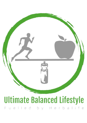

# **Ultimate Balanced Lifestyle**

Fuelled by Herbalife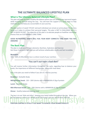# **THE ULTIMATE BALANCED LIFESTYLE PLAN**

# **What is The Ultimate Balanced Lifestyle Plan?**

This plan will help you find a healthy life balance where you can achieve your personal targets while enjoying yourself along the way. You will have the support of a small team to help motivate you and keep you accountable on your journey.

The plan works in 3 week 'CYCLES' and each individual can remain an active player for as many cycles as it takes to achieve their personal targets. This plan is NOT A CHALLENGE and it is NOT A QUICK FIX DIET. The objective of this plan is to educate people on healthier nutritional choices that are SUSTAINABLE LONG TERM.

### **GOOD NUTRITIONAL HABITS WILL FUEL YOUR BODY CORRECTLY AND MAKE YOU FEEL AMAZING**

# **The Basic Plan**

The plan is made up of 3 main elements; Nutrition, Hydration and Exercise Get these 3 elements right and you will achieve unbelievable results and feel incredible.

### **Nutrition**

70% – 80% of effective fat loss is a direct result of your nutrition.

# **'You can't out train a bad diet!'**

You will receive further information throughout the cycle, regarding how to balance your meals, the importance of different food groups, along with meal ideas.

This is the plan you need to follow if you are on a fat loss journey:

**Breakfast:** Herbalife Shake

**Mid-Morning Snack:** 150 – 200 Calories with a MINIMUM of 10g of protein

**Lunch:** Herbalife Shake

**Mid-Afternoon Snack:** 150 – 200 Calories with a MINIMUM of 10g of protein

**Dinner:** Healthy balanced evening meal

The key is to eat 'little and often', keeping your body fuelled throughout the day. When you get the balance correct you should never feel hungry and you should never feel full.

**PORTION CONTROL IS VITAL IF YOU WANT TO ACHIEVE YOUR DESIRED RESULTS.**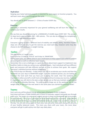### **Hydration**

Keeping your body hydrated properly is essential for your organs to function properly. You will learn more about this throughout the cycle.

You should aim to drink between  $2 - 3$  litres of water EVERY day.

### **Exercise**

Exercising is extremely important for your general wellbeing and will burn the calories to achieve your results.

We say that you should be aiming for a MINIMUM of 10,000 steps EVERY DAY. This amount of steps burns approximately  $300 - 400$  calories. This can also be achieved by completing a 30 – 45 min high intensity workout.

Everyone is going to have a different level of mobility and athletic ability, therefore healthy steps are a fantastic way to get the exercise you need each day, however some may also choose to do HIIT workouts or weight training.

# **Cycles:**

The plan works in 3 week cycles.

Each cycle has 15 days of 'FOCUS' and 6 days to 'MAINTAIN'.

During each cycle, you will be active in your small teams to help support each other to achieve personal goals as well as collective team targets.

Remember this is not a challenge or a quick fix, this is about team support to implement new healthier habits to help you achieve your personal targets. Each individual will have different goals and everyone will take different periods of time to achieve their goals. We support everyone's individual journey without judgement.

Your FOCUS days are Monday – Friday where you aim to accelerate your results and then the weekends are your days to MAINTAIN weight. Over the weekend period, you are looking to maintain the hard work that you have put in during the week. Over the weekend, it's important to allow yourself a small treat so that you continue to enjoy your journey, however it's important you still stick to the plan as best as you can so that you maintain weight ahead of the weigh in Monday Morning. The plan is not to binge out at the weekend, put all the weight back on and start the next week in the same place you started the previous week!

### **Teams:**

Each cycle you will be placed into an active team of between 6 and 12 players.

Each team will have a TEAM LEADER who is there to motivate, support and guide you through each cycle. The teams are your small support groups to keep you motivated and accountable on your journey. This is your safe space to share ideas and ask any questions. Daily eBooks will be shared into the group, which will include workouts, recipe ideas as well as a focus of the day. You are also encouraged to share your own personal meal plans along with pictures of your healthy balanced meals. The more you share with your team, the more ideas everyone will get to add variety into their own daily plans.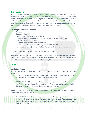# **Daily Weigh Ins:**

On this plan you are required to weigh in every WEEKDAY morning, which helps to keep you accountable. This is nothing to fear and the process will educate you on what factors contribute towards your overall body weight. It is important on this journey not to confuse BODY WEIGHT with BODY FAT. You will learn more about this throughout the cycle, as well as gaining a better understanding of why the number on the scales goes up sometimes when you have eaten really clean and completed 3 workouts the day before!

### **Morning Routine** (Repeated daily):

- Wake up
- Go to the toilet
- Weigh yourself (Set your scales to lbs\*)
	- *\*If your scales are only in kg then you can use google to convert kg to lbs*
- Take a picture of the scales\*\*
- Submit the picture to your Team Leader\*\* (This must be submitted straight away, but NO LATER THAN 10am)
- Have a glass of water (important to hydrate your body as soon as you wake up)

### *\*\*You are only required to submit your weight Monday - Friday*

Some Team Leaders will use a Google Docs form to collect the players weights and others may request that you send the picture of the scales to them personally. Your Team Leader will notify you how they want you to submit your weight.

# **Targets:**

### **Weight Loss Targets**

On Day 1 you will be asked to submit 2 different targets to your Team Leader. The 2 targets will be:

- **ULTIMATE TARGET –** What is your end goal? What is the ideal weight that you want to achieve? This target may take multiple cycles to achieve.
- **CYCLE TARGET –** What is your realistic short-term target to achieve on the next 3 week cycle? The cycle target must be between 1 and 7 lbs, therefore have a think today so that you are prepared to lock in that target Monday morning.

These 2 targets will really help your Team Leader to support you on your journey and understand what your end goal is.

- **TEAM TARGET -** Based on each players individual 'cycle targets', the Team Leaders will add them all together to create the team target for the cycle. This adds additional accountability as you're not only trying to achieve for yourself, you are also trying to achieve for the team.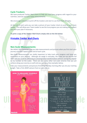# **Cycle Trackers:**

We have produced Tracker Wall Charts to help you track your progress with regard to your nutrition, exercise and your body measurements.

We encourage everyone to print off the trackers and start to use them from Monday.

At the end of each cycle you can take a picture of your tracker charts to send to your Team Leader. This will allow your Team Leader to see the true progress you are making and support you with your plan if necessary.

**To print a copy of the Tracker Wall Charts simply click on the link below:**

# **[Printable Tracker Wall Charts](https://excelgym.co.uk/wp-content/uploads/2021/11/UBL-Printable-Cycle-Tracker.pdf)**

# **Non-Scale Measurements:**

We HIGHLY RECOMMEND that you take measurements and pictures when you first start your journey and then repeat at the end of each cycle.

Non-Scale Measurements are vitally important to help track your progress and keep you motivated on your journey. Although we weigh in everyday, the scales do not tell the full story and you could be achieving an amazing body transformation without seeing any change to the number on the scales. There are also many other non-scale victories that you will achieve along your journey as well and you can see a few examples below.

Take your measurements and pictures first thing Monday morning after you do your starting weight. Take a FULL BODY picture front on and side on.

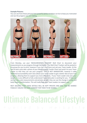#### **Example Pictures:**

You can see from these pictures how powerful photo timelines can be to keep you motivated and see the progress you are making.



From Monday, use your 'MEASUREMENTS TRACKER' Wall Chart to document your measurements as you progress through the cycles. The Wall Chart Trackers will be posted in the group for you to print, however if you can't find them just ask your Team Leader. At the end of each cycle take a photo of your Measurement Tracker Chart and send it to your Team Leader so that they can see your progress. THIS IS NOT MANDATORY, however it adds additional accountability and it also allows your Team Leader to get a better idea of your true progress, allowing them to support you more effectively. If your Team Leader only sees your weight, it is very difficult to fully understand if your daily plan is working for you. If they can see the non-scale measurements and pictures as well, they can see the change in inches and body shape transformation. This will really help your Team Leaders to support you.

REST ASSURED THAT THESE DETAILS WILL BE KEPT PRIVATE AND WILL NOT BE SHARED PUBLICLY UNLESS YOU GIVE CONSENT FOR THEM TO BE SHARED.

# **Ultimate Balanced Lifestyle**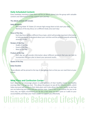# **Daily Scheduled Content:**

Every weekday morning at 6am there will be an eBook posted into the group with valuable content and information to help support your journey.

### **The eBook content will include**:

### **Daily Workouts**

- Morning Wake 'N' Shake (15 minute high energy blast to kick start your day)
- Workout of the day (focus on a different body area each day)

### **Focus of the Day**

Each day there will be a different focus topic, which will provide important information to help you better understand about your nutrition and the process towards achieving amazing results.

### **Recipes of the Day**

- Shake of the Day
- Snack of the Day
- Meal of the Day

### **Product of the Day**

Each day we will provide information about different products that you can look to incorporate into your plan to boost your personal results.

### **Quote of the Day**

#### **Daily Checklist**

These eBooks will be pinned to the top of your group chat so that you can read them at your leisure

# **Meal Plans and Confession Corner:**

Each weekday we encourage players to post pictures of their healthy snacks and healthy evening meal in the group chat. This allows the players to see all the different meals, which helps everyone add variety to their daily plans and it also allows the Team Leader to see how you are balancing your plate and your portion sizes. Even if this is not realistic for you to do every day, we highly recommend you do this a few times on each cycle as it adds to your accountability and helps your Team Leader to support you effectively.

# Ultimate Balanced Lifestyle